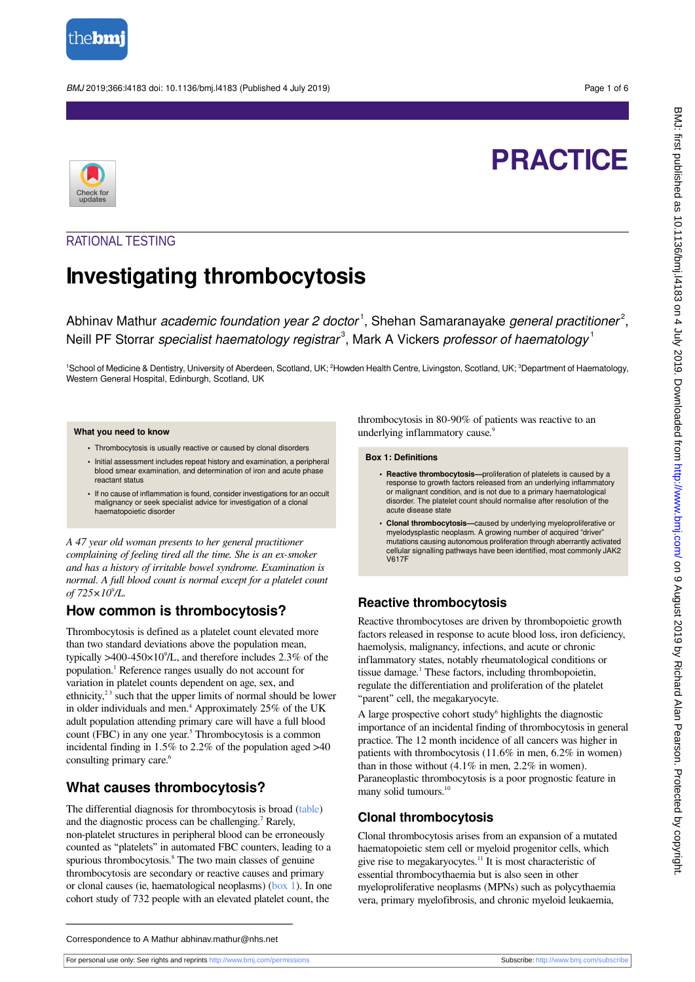

BMJ 2019;366:l4183 doi: 10.1136/bmj.l4183 (Published 4 July 2019) Page 1 of 6

# **PRACTICE**



## RATIONAL TESTING

## **Investigating thrombocytosis**

Abhinav Mathur *academic foundation year 2 doctor*<sup>1</sup>, Shehan Samaranayake *general practitioner<sup>2</sup>,* Neill PF Storrar specialist haematology registrar<sup>3</sup>, Mark A Vickers professor of haematology<sup>1</sup>

<sup>1</sup>School of Medicine & Dentistry, University of Aberdeen, Scotland, UK; <sup>2</sup>Howden Health Centre, Livingston, Scotland, UK; <sup>3</sup>Department of Haematology, Western General Hospital, Edinburgh, Scotland, UK

#### **What you need to know**

- **•** Thrombocytosis is usually reactive or caused by clonal disorders
- **•** Initial assessment includes repeat history and examination, a peripheral blood smear examination, and determination of iron and acute phase reactant status
- **•** If no cause of inflammation is found, consider investigations for an occult malignancy or seek specialist advice for investigation of a clonal haematopoietic disorder

*A 47 year old woman presents to her general practitioner complaining of feeling tired all the time. She is an ex-smoker and has a history of irritable bowel syndrome. Examination is normal. A full blood count is normal except for a platelet count of 725×10<sup>9</sup> /L.*

### **How common is thrombocytosis?**

Thrombocytosis is defined as a platelet count elevated more than two standard deviations above the population mean, typically  $>400-450\times10^{9}/L$ , and therefore includes 2.3% of the population.<sup>1</sup> Reference ranges usually do not account for variation in platelet counts dependent on age, sex, and ethnicity,<sup>23</sup> such that the upper limits of normal should be lower in older individuals and men.<sup>4</sup> Approximately 25% of the UK adult population attending primary care will have a full blood count (FBC) in any one year.<sup>5</sup> Thrombocytosis is a common incidental finding in 1.5% to 2.2% of the population aged >40 consulting primary care.<sup>6</sup>

## **What causes thrombocytosis?**

The differential diagnosis for thrombocytosis is broad [\(table\)](#page-3-0) and the diagnostic process can be challenging.<sup>7</sup> Rarely, non-platelet structures in peripheral blood can be erroneously counted as "platelets" in automated FBC counters, leading to a spurious thrombocytosis.<sup>8</sup> The two main classes of genuine thrombocytosis are secondary or reactive causes and primary or clonal causes (ie, haematological neoplasms) [\(box 1\)](#page-0-0). In one cohort study of 732 people with an elevated platelet count, the

<span id="page-0-0"></span>thrombocytosis in 80-90% of patients was reactive to an underlying inflammatory cause.<sup>9</sup>

#### **Box 1: Definitions**

- **• Reactive thrombocytosis—**proliferation of platelets is caused by a response to growth factors released from an underlying inflammatory or malignant condition, and is not due to a primary haematological disorder. The platelet count should normalise after resolution of the acute disease state
- **• Clonal thrombocytosis—**caused by underlying myeloproliferative or myelodysplastic neoplasm. A growing number of acquired "driver" mutations causing autonomous proliferation through aberrantly activated cellular signalling pathways have been identified, most commonly JAK2 V617F

### **Reactive thrombocytosis**

Reactive thrombocytoses are driven by thrombopoietic growth factors released in response to acute blood loss, iron deficiency, haemolysis, malignancy, infections, and acute or chronic inflammatory states, notably rheumatological conditions or tissue damage.<sup>1</sup> These factors, including thrombopoietin, regulate the differentiation and proliferation of the platelet "parent" cell, the megakaryocyte.

A large prospective cohort study<sup>6</sup> highlights the diagnostic importance of an incidental finding of thrombocytosis in general practice. The 12 month incidence of all cancers was higher in patients with thrombocytosis (11.6% in men, 6.2% in women) than in those without (4.1% in men, 2.2% in women). Paraneoplastic thrombocytosis is a poor prognostic feature in many solid tumours.<sup>10</sup>

## **Clonal thrombocytosis**

Clonal thrombocytosis arises from an expansion of a mutated haematopoietic stem cell or myeloid progenitor cells, which give rise to megakaryocytes.<sup>11</sup> It is most characteristic of essential thrombocythaemia but is also seen in other myeloproliferative neoplasms (MPNs) such as polycythaemia vera, primary myelofibrosis, and chronic myeloid leukaemia,

For personal use only: See rights and reprints<http://www.bmj.com/permissions> Subscribe: <http://www.bmj.com/subscribe>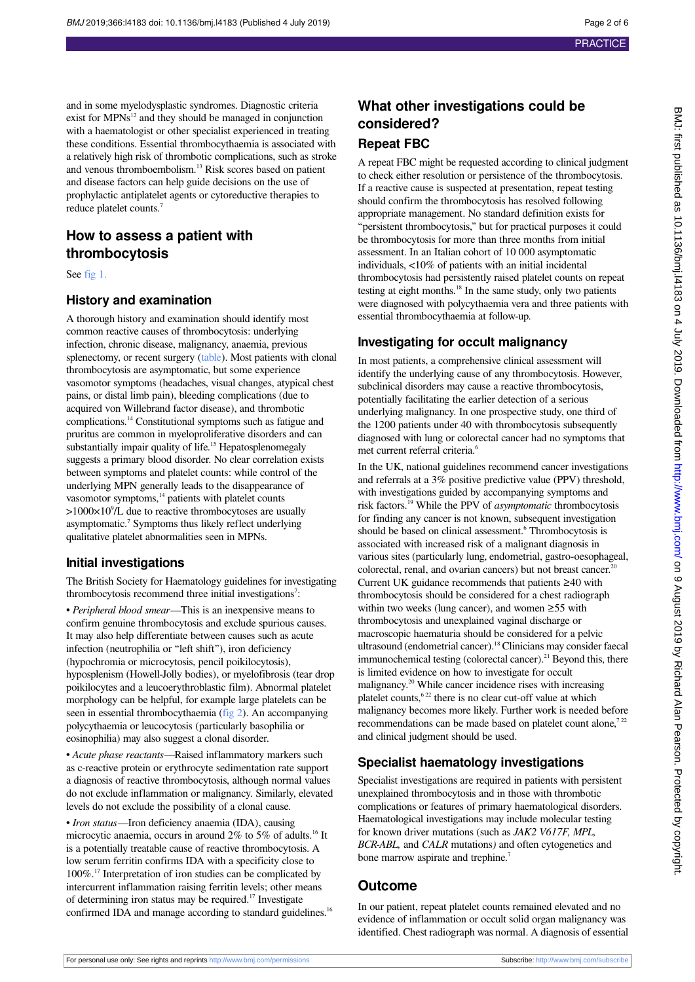and in some myelodysplastic syndromes. Diagnostic criteria exist for  $MPNs^{12}$  and they should be managed in conjunction with a haematologist or other specialist experienced in treating these conditions. Essential thrombocythaemia is associated with a relatively high risk of thrombotic complications, such as stroke and venous thromboembolism.<sup>13</sup> Risk scores based on patient and disease factors can help guide decisions on the use of prophylactic antiplatelet agents or cytoreductive therapies to reduce platelet counts.<sup>7</sup>

## **How to assess a patient with thrombocytosis**

See [fig 1.](#page-4-0)

#### **History and examination**

A thorough history and examination should identify most common reactive causes of thrombocytosis: underlying infection, chronic disease, malignancy, anaemia, previous splenectomy, or recent surgery [\(table\)](#page-3-0). Most patients with clonal thrombocytosis are asymptomatic, but some experience vasomotor symptoms (headaches, visual changes, atypical chest pains, or distal limb pain), bleeding complications (due to acquired von Willebrand factor disease), and thrombotic complications.<sup>14</sup> Constitutional symptoms such as fatigue and pruritus are common in myeloproliferative disorders and can substantially impair quality of life.<sup>15</sup> Hepatosplenomegaly suggests a primary blood disorder. No clear correlation exists between symptoms and platelet counts: while control of the underlying MPN generally leads to the disappearance of vasomotor symptoms,<sup>14</sup> patients with platelet counts  $>1000\times10^9$ /L due to reactive thrombocytoses are usually asymptomatic.<sup>7</sup> Symptoms thus likely reflect underlying qualitative platelet abnormalities seen in MPNs.

#### **Initial investigations**

The British Society for Haematology guidelines for investigating thrombocytosis recommend three initial investigations<sup>7</sup>:

• *Peripheral blood smear—*This is an inexpensive means to confirm genuine thrombocytosis and exclude spurious causes. It may also help differentiate between causes such as acute infection (neutrophilia or "left shift"), iron deficiency (hypochromia or microcytosis, pencil poikilocytosis), hyposplenism (Howell-Jolly bodies), or myelofibrosis (tear drop poikilocytes and a leucoerythroblastic film). Abnormal platelet morphology can be helpful, for example large platelets can be seen in essential thrombocythaemia ([fig 2\)](#page-5-0). An accompanying polycythaemia or leucocytosis (particularly basophilia or eosinophilia) may also suggest a clonal disorder.

• *Acute phase reactants—*Raised inflammatory markers such as c-reactive protein or erythrocyte sedimentation rate support a diagnosis of reactive thrombocytosis, although normal values do not exclude inflammation or malignancy. Similarly, elevated levels do not exclude the possibility of a clonal cause.

• *Iron status—*Iron deficiency anaemia (IDA), causing microcytic anaemia, occurs in around 2% to 5% of adults.<sup>16</sup> It is a potentially treatable cause of reactive thrombocytosis. A low serum ferritin confirms IDA with a specificity close to 100%.<sup>17</sup> Interpretation of iron studies can be complicated by intercurrent inflammation raising ferritin levels; other means of determining iron status may be required.<sup>17</sup> Investigate confirmed IDA and manage according to standard guidelines.<sup>16</sup>

## **What other investigations could be considered? Repeat FBC**

A repeat FBC might be requested according to clinical judgment to check either resolution or persistence of the thrombocytosis. If a reactive cause is suspected at presentation, repeat testing should confirm the thrombocytosis has resolved following appropriate management. No standard definition exists for "persistent thrombocytosis," but for practical purposes it could be thrombocytosis for more than three months from initial assessment. In an Italian cohort of 10 000 asymptomatic individuals, <10% of patients with an initial incidental thrombocytosis had persistently raised platelet counts on repeat testing at eight months.<sup>18</sup> In the same study, only two patients were diagnosed with polycythaemia vera and three patients with essential thrombocythaemia at follow-up.

#### **Investigating for occult malignancy**

In most patients, a comprehensive clinical assessment will identify the underlying cause of any thrombocytosis. However, subclinical disorders may cause a reactive thrombocytosis, potentially facilitating the earlier detection of a serious underlying malignancy. In one prospective study, one third of the 1200 patients under 40 with thrombocytosis subsequently diagnosed with lung or colorectal cancer had no symptoms that met current referral criteria.<sup>6</sup>

In the UK, national guidelines recommend cancer investigations and referrals at a 3% positive predictive value (PPV) threshold, with investigations guided by accompanying symptoms and risk factors.<sup>19</sup> While the PPV of *asymptomatic* thrombocytosis for finding any cancer is not known, subsequent investigation should be based on clinical assessment.<sup>6</sup> Thrombocytosis is associated with increased risk of a malignant diagnosis in various sites (particularly lung, endometrial, gastro-oesophageal, colorectal, renal, and ovarian cancers) but not breast cancer.<sup>2</sup> Current UK guidance recommends that patients ≥40 with thrombocytosis should be considered for a chest radiograph within two weeks (lung cancer), and women ≥55 with thrombocytosis and unexplained vaginal discharge or macroscopic haematuria should be considered for a pelvic ultrasound (endometrial cancer).<sup>18</sup> Clinicians may consider faecal immunochemical testing (colorectal cancer). $^{21}$  Beyond this, there is limited evidence on how to investigate for occult malignancy.<sup>20</sup> While cancer incidence rises with increasing platelet counts,  $6^{22}$  there is no clear cut-off value at which malignancy becomes more likely. Further work is needed before recommendations can be made based on platelet count alone, $722$ and clinical judgment should be used.

### **Specialist haematology investigations**

Specialist investigations are required in patients with persistent unexplained thrombocytosis and in those with thrombotic complications or features of primary haematological disorders. Haematological investigations may include molecular testing for known driver mutations (such as *JAK2 V617F, MPL, BCR-ABL,* and *CALR* mutations*)* and often cytogenetics and bone marrow aspirate and trephine.<sup>7</sup>

## **Outcome**

In our patient, repeat platelet counts remained elevated and no evidence of inflammation or occult solid organ malignancy was identified. Chest radiograph was normal. A diagnosis of essential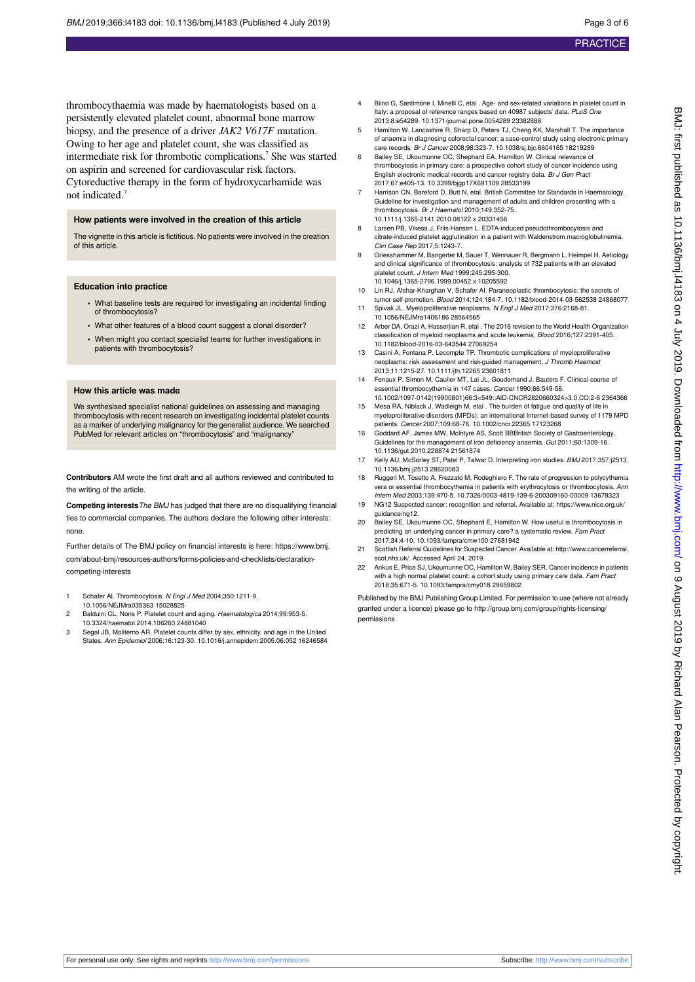thrombocythaemia was made by haematologists based on a persistently elevated platelet count, abnormal bone marrow biopsy, and the presence of a driver *JAK2 V617F* mutation. Owing to her age and platelet count, she was classified as intermediate risk for thrombotic complications.<sup>7</sup> She was started on aspirin and screened for cardiovascular risk factors. Cytoreductive therapy in the form of hydroxycarbamide was not indicated.<sup>7</sup>

#### **How patients were involved in the creation of this article**

The vignette in this article is fictitious. No patients were involved in the creation of this article.

#### **Education into practice**

- **•** What baseline tests are required for investigating an incidental finding of thrombocytosis?
- **•** What other features of a blood count suggest a clonal disorder?
- **•** When might you contact specialist teams for further investigations in patients with thrombocytosis?

#### **How this article was made**

We synthesised specialist national guidelines on assessing and managing thrombocytosis with recent research on investigating incidental platelet counts er of underlying malignancy for the generalist audience. We searched PubMed for relevant articles on "thrombocytosis" and "malignancy"

**Contributors** AM wrote the first draft and all authors reviewed and contributed to the writing of the article.

**Competing interests**The BMJ has judged that there are no disqualifying financial ties to commercial companies. The authors declare the following other interests: none.

Further details of The BMJ policy on financial interests is here: https://www.bmj. com/about-bmj/resources-authors/forms-policies-and-checklists/declarationcompeting-interests

- 1 Schafer AI. Thrombocytosis. N Engl J Med 2004;350:1211-9.
- 10.1056/NEJMra035363 15028825 2 Balduini CL, Noris P. Platelet count and aging. Haematologica 2014;99:953-5. 10.3324/haematol.2014.106260 24881040
- 3 Segal JB, Moliterno AR. Platelet counts differ by sex, ethnicity, and age in the United States. Ann Epidemiol 2006;16:123-30. 10.1016/j.annepidem.2005.06.052 16246584
- 4 Biino G, Santimone I, Minelli C, etal . Age- and sex-related variations in platelet count in Italy: a proposal of reference ranges based on 40987 subjects' data. PLoS One 2013;8:e54289. 10.1371/journal.pone.0054289 23382888
- 5 Hamilton W, Lancashire R, Sharp D, Peters TJ, Cheng KK, Marshall T. The importance of anaemia in diagnosing colorectal cancer: a case-control study using electronic primary care records. Br J Cancer 2008;98:323-7. 10.1038/sj.bjc.6604165 18219289
- 6 Bailey SE, Ukoumunne OC, Shephard EA, Hamilton W. Clinical relevance of thrombocytosis in primary care: a prospective cohort study of cancer incidence using English electronic medical records and cancer registry data. Br J Gen Pract 2017;67:e405-13. 10.3399/bjgp17X691109 28533199
- Harrison CN, Bareford D, Butt N, etal. British Committee for Standards in Haematology Guideline for investigation and management of adults and children presenting with a thrombocytosis. Br J Haematol 2010;149:352-75. 10.1111/j.1365-2141.2010.08122.x 20331456
- 8 Larsen PB, Vikesa J, Friis-Hansen L. EDTA-induced pseudothrombocytosis and citrate‐induced platelet agglutination in a patient with Waldenstrom macroglobulinemia. Clin Case Rep 2017;5:1243-7.
- 9 Griesshammer M, Bangerter M, Sauer T, Wennauer R, Bergmann L, Heimpel H. Aetiology and clinical significance of thrombocytosis: analysis of 732 patients with an elevated platelet count. J Intern Med 1999;245:295-300. 10.1046/j.1365-2796.1999.00452.x 10205592
- 10 Lin RJ, Afshar-Kharghan V, Schafer AI. Paraneoplastic thrombocytosis: the secrets of tumor self-promotion. Blood 2014;124:184-7. 10.1182/blood-2014-03-562538 24868077 11 Spivak JL. Myeloproliferative neoplasms. N Engl J Med 2017;376:2168-81.
- 10.1056/NEJMra1406186 28564565
- 12 Arber DA, Orazi A, Hasserjian R, etal . The 2016 revision to the World Health Organization classification of myeloid neoplasms and acute leukemia. Blood 2016;127:2391-405. 10.1182/blood-2016-03-643544 27069254
- 13 Casini A, Fontana P, Lecompte TP. Thrombotic complications of myeloproliferative neoplasms: risk assessment and risk-guided management. J Thromb Haemost 2013;11:1215-27. 10.1111/jth.12265 23601811
- 14 Fenaux P, Simon M, Caulier MT, Lai JL, Goudemand J, Bauters F. Clinical course of essential thrombocythemia in 147 cases. Cancer 1990;66:549-56. 10.1002/1097-0142(19900801)66:3<549::AID-CNCR2820660324>3.0.CO;2-6 2364366
- 15 Mesa RA, Niblack J, Wadleigh M, etal . The burden of fatigue and quality of life in myeloproliferative disorders (MPDs): an international Internet-based survey of 1179 MPD patients. Cancer 2007;109:68-76. 10.1002/cncr.22365 17123268
- 16 Goddard AF, James MW, McIntyre AS, Scott BBBritish Society of Gastroenterology. Guidelines for the management of iron deficiency anaemia. Gut 2011;60:1309-16. 10.1136/gut.2010.228874 21561874
- 17 Kelly AU, McSorley ST, Patel P, Talwar D. Interpreting iron studies. BMJ 2017;357:j2513. 10.1136/bmj.j2513 28620083
- Ruggeri M, Tosetto A, Frezzato M, Rodeghiero F. The rate of progression to polycythemia vera or essential thrombocythemia in patients with erythrocytosis or thrombocytosis. Ann Intern Med 2003;139:470-5. 10.7326/0003-4819-139-6-200309160-00009 13679323
- 19 NG12 Suspected cancer: recognition and referral. Available at: https://www.nice.org.uk/ guidance/ng12.
- 20 Bailey SE, Ukoumunne OC, Shephard E, Hamilton W. How useful is thrombocytosis in predicting an underlying cancer in primary care? a systematic review. Fam Praction 10.1093/fampra/cmw100 27681942
- 21 Scottish Referral Guidelines for Suspected Cancer. Available at: [http://www.cancerreferral.](http://www.cancerreferral.scot.nhs.uk/) [scot.nhs.uk/](http://www.cancerreferral.scot.nhs.uk/). Accessed April 24, 2019.
- 22 Ankus E, Price SJ, Ukoumunne OC, Hamilton W, Bailey SER. Cancer incidence in patients with a high normal platelet count: a cohort study using primary care data. Fam Pract 2018;35:671-5. 10.1093/fampra/cmy018 29659802

Published by the BMJ Publishing Group Limited. For permission to use (where not already granted under a licence) please go to [http://group.bmj.com/group/rights-licensing/](http://group.bmj.com/group/rights-licensing/permissions) [permissions](http://group.bmj.com/group/rights-licensing/permissions)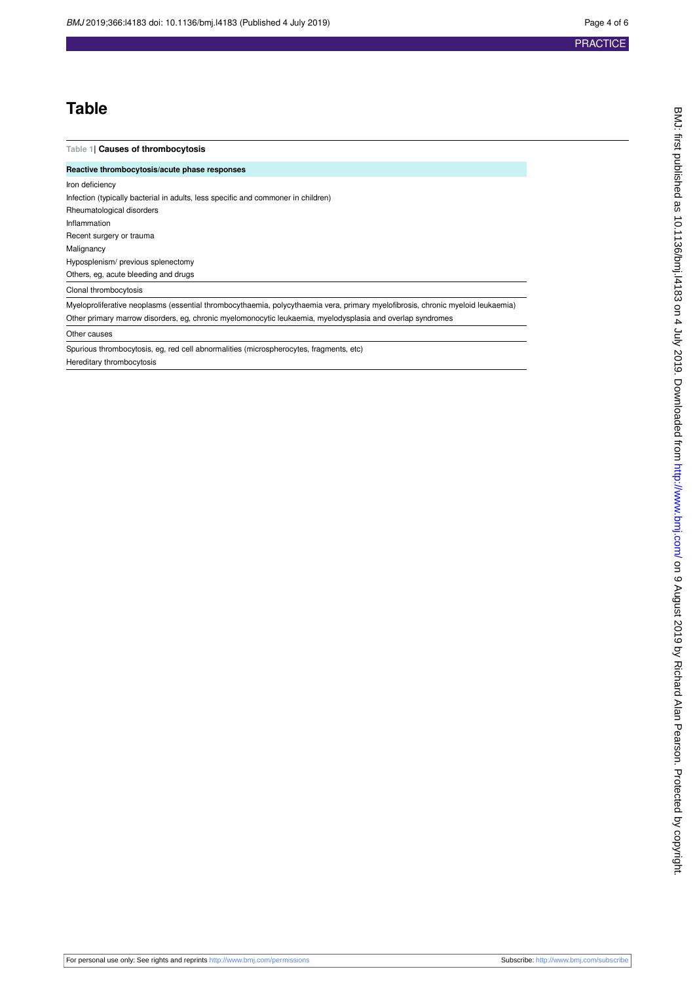## **Table**

#### <span id="page-3-0"></span>**Table 1| Causes of thrombocytosis**

**Reactive thrombocytosis/acute phase responses** Iron deficiency Infection (typically bacterial in adults, less specific and commoner in children)

Rheumatological disorders Inflammation Recent surgery or trauma Malignancy Hyposplenism/ previous splenectomy Others, eg, acute bleeding and drugs Clonal thrombocytosis

Myeloproliferative neoplasms (essential thrombocythaemia, polycythaemia vera, primary myelofibrosis, chronic myeloid leukaemia) Other primary marrow disorders, eg, chronic myelomonocytic leukaemia, myelodysplasia and overlap syndromes

Other causes

Spurious thrombocytosis, eg, red cell abnormalities (microspherocytes, fragments, etc) Hereditary thrombocytosis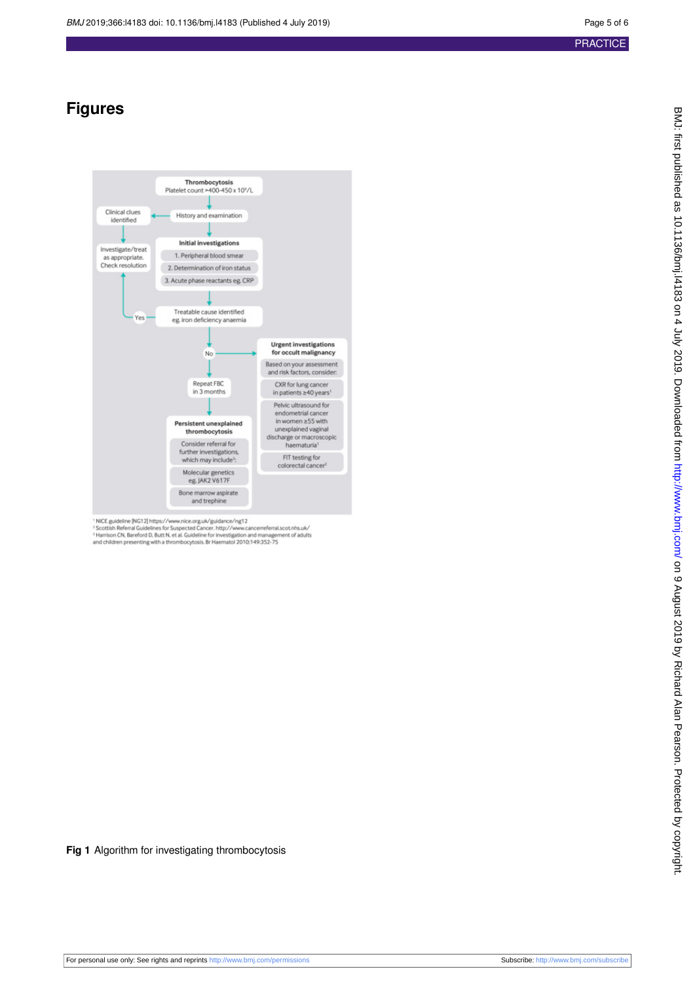## <span id="page-4-0"></span>**Figures**



<sup>1</sup> NICE guideline [NG12] https://www.nice.org.uk/guidance/ng12<br><sup>3</sup> Scottish Referral Guidelines for Suspected Cancer. http://www.cancerreferral.scot.nhs.uk/<br><sup>3</sup> Harrison CN. Bareford D, Butt N, et al. Guideline for invest

**Fig 1** Algorithm for investigating thrombocytosis